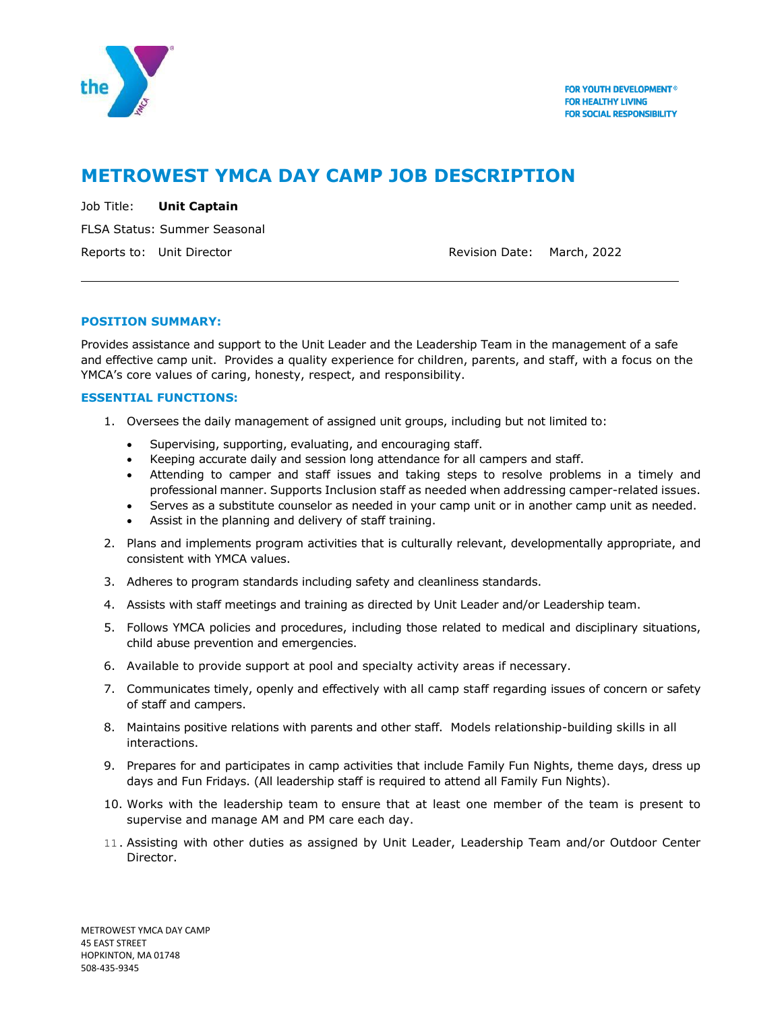

# **METROWEST YMCA DAY CAMP JOB DESCRIPTION**

Job Title: **Unit Captain** FLSA Status: Summer Seasonal Reports to: Unit Director **Reports to: Unit Director** Revision Date: March, 2022

## **POSITION SUMMARY:**

Provides assistance and support to the Unit Leader and the Leadership Team in the management of a safe and effective camp unit. Provides a quality experience for children, parents, and staff, with a focus on the YMCA's core values of caring, honesty, respect, and responsibility.

## **ESSENTIAL FUNCTIONS:**

- 1. Oversees the daily management of assigned unit groups, including but not limited to:
	- Supervising, supporting, evaluating, and encouraging staff.
	- Keeping accurate daily and session long attendance for all campers and staff.
	- Attending to camper and staff issues and taking steps to resolve problems in a timely and professional manner. Supports Inclusion staff as needed when addressing camper-related issues.
	- Serves as a substitute counselor as needed in your camp unit or in another camp unit as needed.
	- Assist in the planning and delivery of staff training.
- 2. Plans and implements program activities that is culturally relevant, developmentally appropriate, and consistent with YMCA values.
- 3. Adheres to program standards including safety and cleanliness standards.
- 4. Assists with staff meetings and training as directed by Unit Leader and/or Leadership team.
- 5. Follows YMCA policies and procedures, including those related to medical and disciplinary situations, child abuse prevention and emergencies.
- 6. Available to provide support at pool and specialty activity areas if necessary.
- 7. Communicates timely, openly and effectively with all camp staff regarding issues of concern or safety of staff and campers.
- 8. Maintains positive relations with parents and other staff. Models relationship-building skills in all interactions.
- 9. Prepares for and participates in camp activities that include Family Fun Nights, theme days, dress up days and Fun Fridays. (All leadership staff is required to attend all Family Fun Nights).
- 10. Works with the leadership team to ensure that at least one member of the team is present to supervise and manage AM and PM care each day.
- 11. Assisting with other duties as assigned by Unit Leader, Leadership Team and/or Outdoor Center Director.